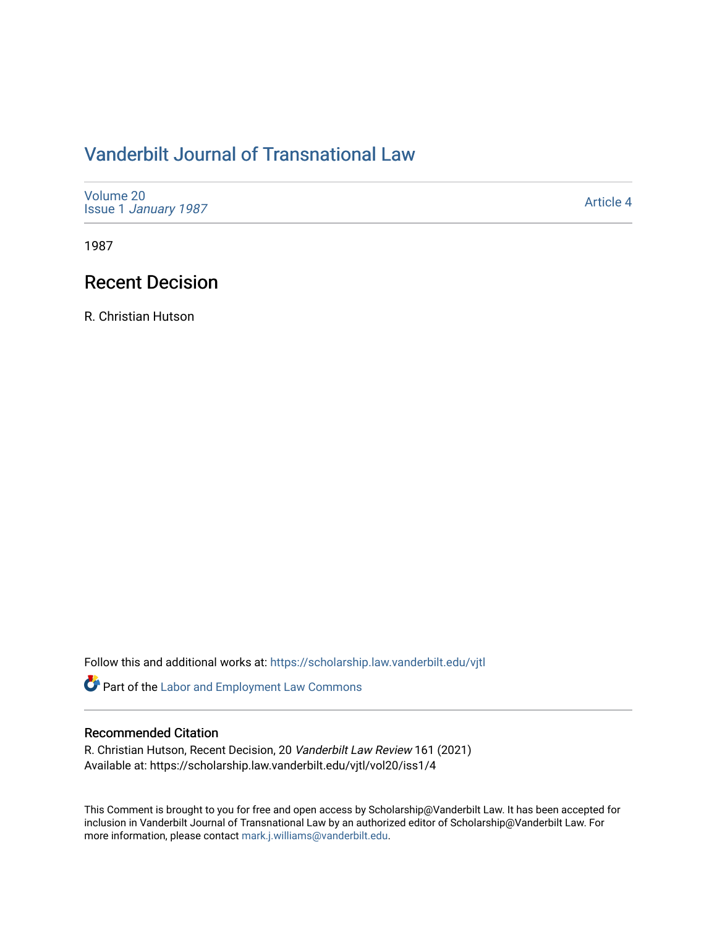# [Vanderbilt Journal of Transnational Law](https://scholarship.law.vanderbilt.edu/vjtl)

| Volume 20<br><b>Issue 1 January 1987</b> | Article 4 |
|------------------------------------------|-----------|
|------------------------------------------|-----------|

1987

### Recent Decision

R. Christian Hutson

Follow this and additional works at: [https://scholarship.law.vanderbilt.edu/vjtl](https://scholarship.law.vanderbilt.edu/vjtl?utm_source=scholarship.law.vanderbilt.edu%2Fvjtl%2Fvol20%2Fiss1%2F4&utm_medium=PDF&utm_campaign=PDFCoverPages) 

Part of the [Labor and Employment Law Commons](http://network.bepress.com/hgg/discipline/909?utm_source=scholarship.law.vanderbilt.edu%2Fvjtl%2Fvol20%2Fiss1%2F4&utm_medium=PDF&utm_campaign=PDFCoverPages)

### Recommended Citation

R. Christian Hutson, Recent Decision, 20 Vanderbilt Law Review 161 (2021) Available at: https://scholarship.law.vanderbilt.edu/vjtl/vol20/iss1/4

This Comment is brought to you for free and open access by Scholarship@Vanderbilt Law. It has been accepted for inclusion in Vanderbilt Journal of Transnational Law by an authorized editor of Scholarship@Vanderbilt Law. For more information, please contact [mark.j.williams@vanderbilt.edu](mailto:mark.j.williams@vanderbilt.edu).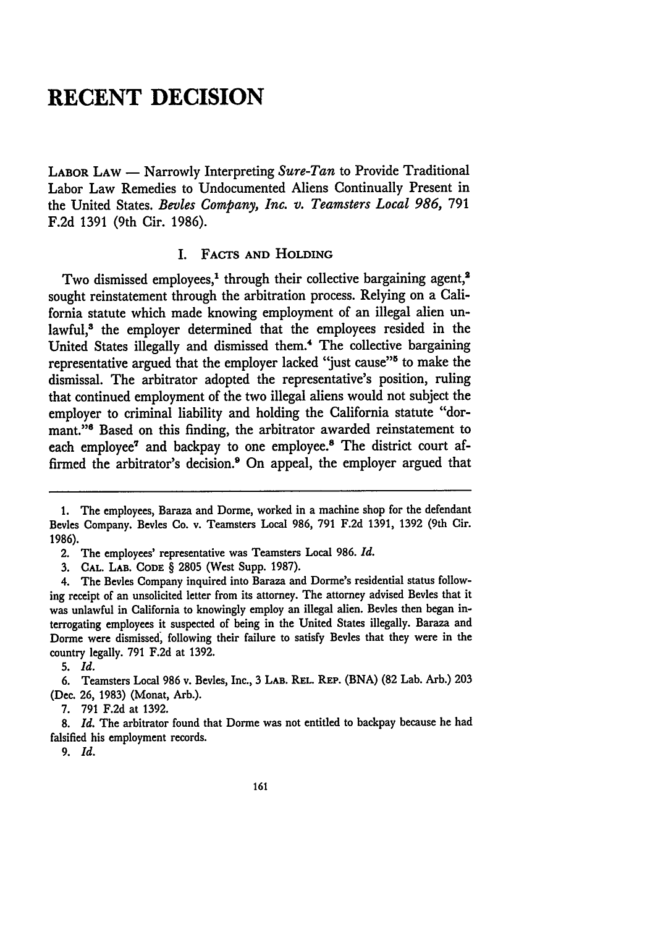## **RECENT DECISION**

LABOR **LAW -** Narrowly Interpreting *Sure-Tan* to Provide Traditional Labor Law Remedies to Undocumented Aliens Continually Present in the United States. *Bevies Company, Inc. v. Teamsters Local 986,* 791 F.2d 1391 (9th Cir. 1986).

#### I. **FACTS AND HOLDING**

Two dismissed employees,<sup>1</sup> through their collective bargaining agent.<sup>2</sup> sought reinstatement through the arbitration process. Relying on a California statute which made knowing employment of an illegal alien unlawful,<sup>8</sup> the employer determined that the employees resided in the United States illegally and dismissed them.<sup>4</sup> The collective bargaining representative argued that the employer lacked "just cause"<sup>5</sup> to make the dismissal. The arbitrator adopted the representative's position, ruling that continued employment of the two illegal aliens would not subject the employer to criminal liability and holding the California statute "dormant."<sup>8</sup> Based on this finding, the arbitrator awarded reinstatement to each employee<sup>7</sup> and backpay to one employee.<sup>8</sup> The district court affirmed the arbitrator's decision.<sup>9</sup> On appeal, the employer argued that

7. 791 F.2d at 1392.

8. *Id.* The arbitrator found that Dorme was not entitled to backpay because he had falsified his employment records.

*9. Id.*

<sup>1.</sup> The employees, Baraza and Dorme, worked in a machine shop for the defendant Bevies Company. Bevies Co. v. Teamsters Local **986, 791 F.2d** 1391, 1392 (9th Cir. 1986).

<sup>2.</sup> The employees' representative was Teamsters Local 986. *Id.*

<sup>3.</sup> **CAL.** LAB. CODE § 2805 (West Supp. 1987).

<sup>4.</sup> The Bevies Company inquired into Baraza and Dorme's residential status following receipt of an unsolicited letter from its attorney. The attorney advised Bevies that it was unlawful in California to knowingly employ an illegal alien. Bevies then began interrogating employees it suspected of being in the United States illegally. Baraza and Dorme were dismissed, following their failure to satisfy Bevies that they were in the country legally. 791 F.2d at 1392.

**<sup>5.</sup>** *Id.*

<sup>6.</sup> Teamsters Local 986 v. Bevies, Inc., **3 LAB.** REL. REP. (BNA) (82 Lab. Arb.) 203 (Dec. 26, 1983) (Monat, Arb.).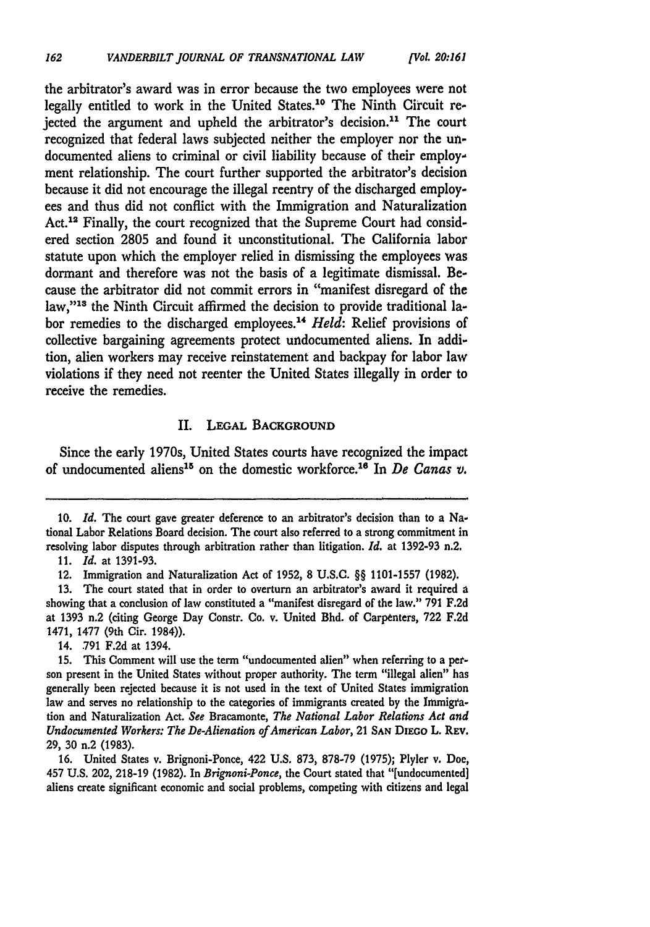the arbitrator's award was in error because the two employees were not legally entitled to work in the United States.<sup>10</sup> The Ninth Circuit rejected the argument and upheld the arbitrator's decision.<sup>11</sup> The court recognized that federal laws subjected neither the employer nor the undocumented aliens to criminal or civil liability because of their employment relationship. The court further supported the arbitrator's decision because it did not encourage the illegal reentry of the discharged employees and thus did not conflict with the Immigration and Naturalization Act.<sup>12</sup> Finally, the court recognized that the Supreme Court had considered section 2805 and found it unconstitutional. The California labor statute upon which the employer relied in dismissing the employees was dormant and therefore was not the basis of a legitimate dismissal. Because the arbitrator did not commit errors in "manifest disregard of the law,"<sup>13</sup> the Ninth Circuit affirmed the decision to provide traditional labor remedies to the discharged employees.<sup>14</sup> Held: Relief provisions of collective bargaining agreements protect undocumented aliens. In addition, alien workers may receive reinstatement and backpay for labor law violations if they need not reenter the United States illegally in order to receive the remedies.

#### II. **LEGAL BACKGROUND**

Since the early 1970s, United States courts have recognized the impact of undocumented aliens<sup>15</sup> on the domestic workforce.<sup>16</sup> In *De Canas v.* 

14. .791 F.2d at 1394.

**16.** United States v. Brignoni-Ponce, 422 **U.S. 873, 878-79 (1975);** Plyler v. Doe, 457 **U.S.** 202, **218-19 (1982).** In *Brignoni-Ponce,* the Court stated that "[undocumented] aliens create significant economic and social problems, competing with citizens and legal

**<sup>10.</sup>** *Id.* The court gave greater deference to an arbitrator's decision than to a National Labor Relations Board decision. The court also referred to a strong commitment in resolving labor disputes through arbitration rather than litigation. *Id.* at 1392-93 n.2.

<sup>11.</sup> *Id.* at 1391-93.

<sup>12.</sup> Immigration and Naturalization Act of 1952, 8 U.S.C. §§ 1101-1557 (1982).

<sup>13.</sup> The court stated that in order to overturn an arbitrator's award it required a showing that a conclusion of law constituted a "manifest disregard of the law." 791 F.2d at 1393 n.2 (citing George Day Constr. Co. v. United Bhd. of Carpenters, 722 F.2d 1471, 1477 (9th Cir. 1984)).

<sup>15.</sup> This Comment will use the term "undocumented alien" when referring to a person present in the United States without proper authority. The term "illegal alien" has generally been rejected because it is not used in the text of United States immigration law and serves no relationship to the categories of immigrants created by the Immigration and Naturalization Act. *See* Bracamonte, *The National Labor Relations Act and Undocumented Workers. The De-Alienation of American Labor,* 21 **SAN DIEGO** L. **REV. 29, 30** n.2 **(1983).**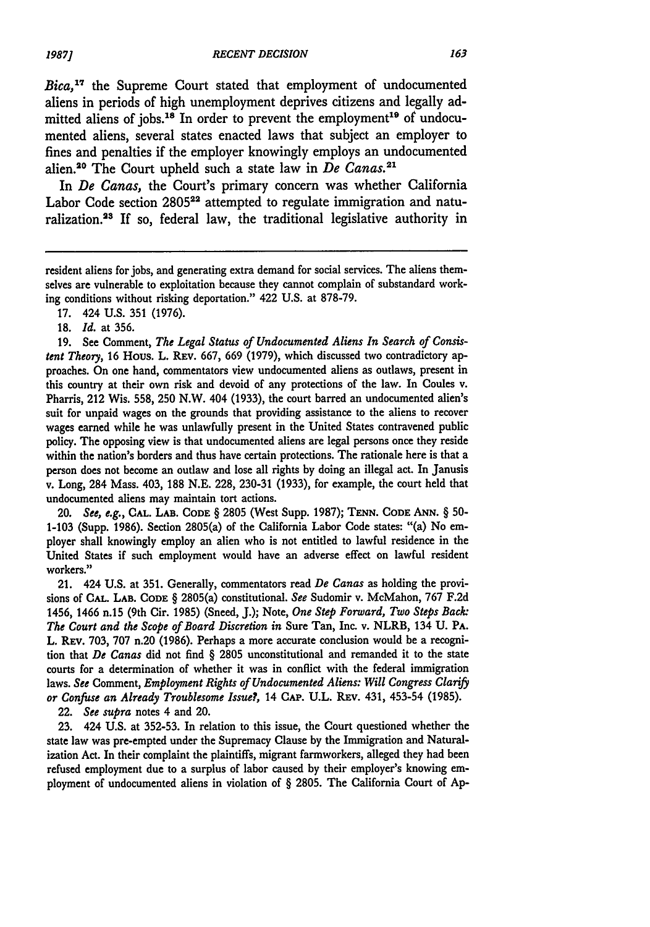*Bica,17* the Supreme Court stated that employment of undocumented aliens in periods of high unemployment deprives citizens and legally admitted aliens of jobs.<sup>18</sup> In order to prevent the employment<sup>19</sup> of undocumented aliens, several states enacted laws that subject an employer to fines and penalties if the employer knowingly employs an undocumented alien.20 The Court upheld such a state law in *De Canas.21*

In *De Canas,* the Court's primary concern was whether California Labor Code section 2805<sup>22</sup> attempted to regulate immigration and naturalization.<sup>23</sup> If so, federal law, the traditional legislative authority in

17. 424 U.S. 351 (1976).

**18.** *Id.* at 356.

**19.** See Comment, *The Legal Status of Undocumented Aliens In Search of Consistent Theory,* **16** Hous. L. REv. 667, 669 (1979), which discussed two contradictory approaches. On one hand, commentators view undocumented aliens as outlaws, present in this country at their own risk and devoid of any protections of the law. In Coules v. Pharris, 212 Wis. 558, **250** N.W. 404 (1933), the court barred an undocumented alien's suit for unpaid wages on the grounds that providing assistance to the aliens to recover wages earned while he was unlawfully present in the United States contravened public policy. The opposing view is that undocumented aliens are legal persons once they reside within the nation's borders and thus have certain protections. The rationale here is that a person does not become an outlaw and lose all rights by doing an illegal act. In Janusis v. Long, 284 Mass. 403, 188 N.E. 228, 230-31 (1933), for example, the court held that undocumented aliens may maintain tort actions.

*20. See, e.g.,* **CAL.** LAB. **CODE** § 2805 (West Supp. 1987); **TENN. CODE ANN.** § 50- **1-103** (Supp. 1986). Section 2805(a) of the California Labor Code states: "(a) No employer shall knowingly employ an alien who is not entitled to lawful residence in the United States if such employment would have an adverse effect on lawful resident workers."

21. 424 **U.S.** at **351.** Generally, commentators read *De Canas* as holding the provisions **of CAL. LAB. CODE** § 2805(a) constitutional. See Sudomir v. McMahon, **767 F.2d** 1456, 1466 n.15 (9th Cir. **1985)** (Sneed, **J.);** Note, *One Step Forward, Two Steps Back: The Court and the Scope of Board Discretion in* Sure Tan, Inc. v. NLRB, 134 **U. PA. L. REV. 703, 707 n.20 (1986).** Perhaps a more accurate conclusion would be a recognition that *De Canas* did not find § **2805** unconstitutional and remanded it to the state courts for a determination of whether it was in conflict with the federal immigration laws. *See* Comment, *Employment Rights of Undocumented Aliens: Will Congress Clarify or Confuse an Already Troublesome Issue?,* 14 **CAP.** U.L. REv. 431, 453-54 (1985).

22. *See supra* notes 4 and 20.

23. 424 U.S. at 352-53. In relation to this issue, the Court questioned whether the state law was pre-empted under the Supremacy Clause by the Immigration and Naturalization Act. In their complaint the plaintiffs, migrant farmworkers, alleged they had been refused employment due to a surplus of labor caused by their employer's knowing employment of undocumented aliens in violation of § 2805. The California Court of Ap-

resident aliens for jobs, and generating extra demand for social services. The aliens themselves are vulnerable to exploitation because they cannot complain of substandard working conditions without risking deportation." 422 **U.S.** at 878-79.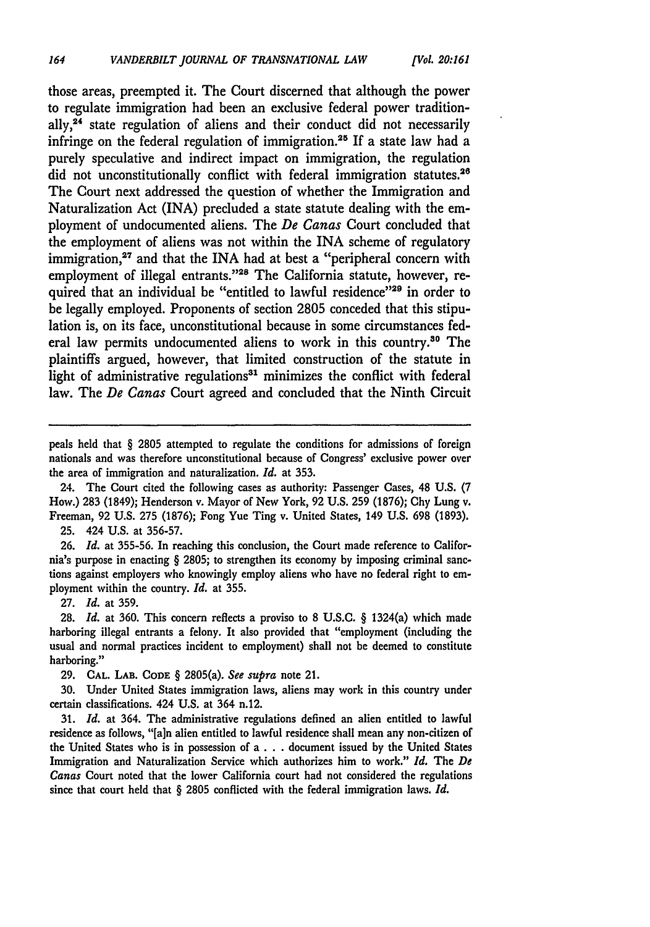those areas, preempted it. The Court discerned that although the power to regulate immigration had been an exclusive federal power traditionally,<sup>24</sup> state regulation of aliens and their conduct did not necessarily infringe on the federal regulation of immigration.25 If a state law had a purely speculative and indirect impact on immigration, the regulation did not unconstitutionally conflict with federal immigration statutes.<sup>26</sup> The Court next addressed the question of whether the Immigration and Naturalization Act (INA) precluded a state statute dealing with the employment of undocumented aliens. The *De Canas* Court concluded that the employment of aliens was not within the INA scheme of regulatory immigration,<sup>27</sup> and that the INA had at best a "peripheral concern with employment of illegal entrants."<sup>28</sup> The California statute, however, required that an individual be "entitled to lawful residence"<sup>29</sup> in order to be legally employed. Proponents of section 2805 conceded that this stipulation is, on its face, unconstitutional because in some circumstances federal law permits undocumented aliens to work in this country.<sup>30</sup> The plaintiffs argued, however, that limited construction of the statute in light of administrative regulations<sup>31</sup> minimizes the conflict with federal law. The *De Canas* Court agreed and concluded that the Ninth Circuit

peals held that § 2805 attempted to regulate the conditions for admissions of foreign nationals and was therefore unconstitutional because of Congress' exclusive power over the area of immigration and naturalization. *Id.* at **353.**

24. The Court cited the following cases as authority: Passenger Cases, 48 **U.S. (7** How.) **283** (1849); Henderson v. Mayor of New York, **92 U.S. 259 (1876); Chy** Lung v. Freeman, **92 U.S. 275 (1876);** Fong Yue Ting v. United States, 149 **U.S. 698 (1893).**

**25.** 424 **U.S.** at **356-57.**

**26.** *Id.* at **355-56.** In reaching this conclusion, the Court made reference to California's purpose in enacting § **2805;** to strengthen its economy by imposing criminal sanctions against employers who knowingly employ aliens who have no federal right to employment within the country. *Id.* at **355.**

**27.** *Id.* at **359.**

**28.** *Id.* at **360.** This concern reflects a proviso to **8 U.S.C.** § 1324(a) which made harboring illegal entrants a felony. It also provided that "employment (including the usual and normal practices incident to employment) shall not be deemed to constitute harboring."

**29. CAL.** LAB. **CODE** § 2805(a). *See supra* note 21.

30. Under United States immigration laws, aliens may work in this country under certain classifications. 424 **U.S.** at 364 n.12.

**31.** *Id.* at 364. The administrative regulations defined an alien entitled to lawful residence as follows, "[a]n alien entitled to lawful residence shall mean any non-citizen of the United States who is in possession of **a. . .** document issued **by** the United States Immigration and Naturalization Service which authorizes him to work." *Id.* The *De Canas* Court noted that the lower California court had not considered the regulations since that court held that § **2805** conflicted with the federal immigration laws. *Id.*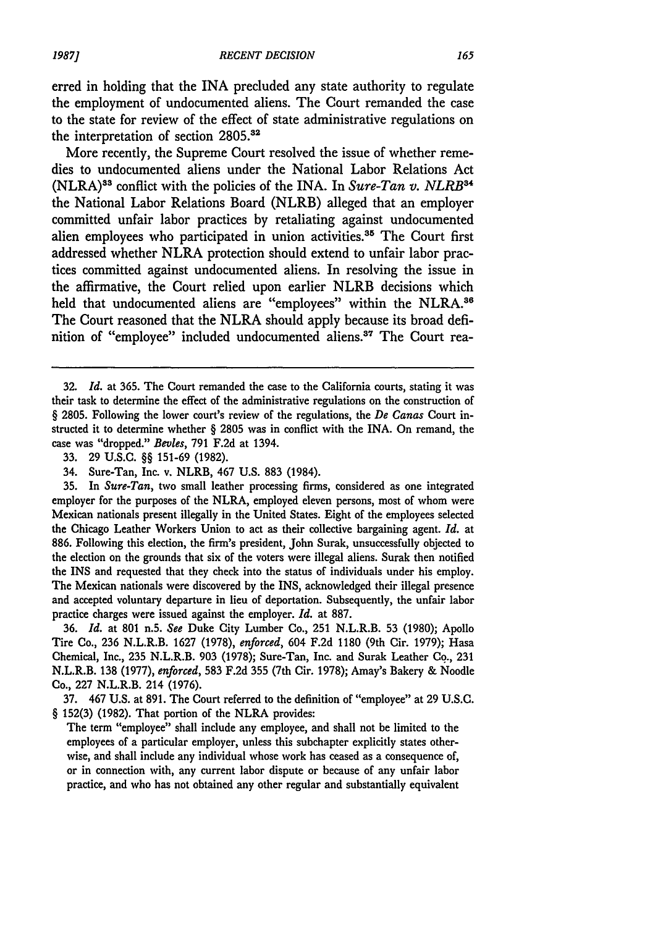erred in holding that the INA precluded any state authority to regulate the employment of undocumented aliens. The Court remanded the case to the state for review of the effect of state administrative regulations on the interpretation of section **2805.2**

More recently, the Supreme Court resolved the issue of whether remedies to undocumented aliens under the National Labor Relations Act (NLRA)"3 conflict with the policies of the INA. In *Sure-Tan v. NLRB34* the National Labor Relations Board (NLRB) alleged that an employer committed unfair labor practices **by** retaliating against undocumented alien employees who participated in union activities.<sup>35</sup> The Court first addressed whether NLRA protection should extend to unfair labor practices committed against undocumented aliens. In resolving the issue in the affirmative, the Court relied upon earlier NLRB decisions which held that undocumented aliens are "employees" within the NLRA.<sup>36</sup> The Court reasoned that the NLRA should apply because its broad definition of "employee" included undocumented aliens.<sup>37</sup> The Court rea-

**35.** In *Sure-Tan,* two small leather processing firms, considered as one integrated employer for the purposes of the NLRA, employed eleven persons, most of whom were Mexican nationals present illegally in the United States. Eight of the employees selected the Chicago Leather Workers Union to act as their collective bargaining agent. *Id.* at **886.** Following this election, the firm's president, John Surak, unsuccessfully objected to the election on the grounds that six of the voters were illegal aliens. Surak then notified the **INS** and requested that they check into the status of individuals under his employ. The Mexican nationals were discovered **by** the INS, acknowledged their illegal presence and accepted voluntary departure in lieu of deportation. Subsequently, the unfair labor practice charges were issued against the employer. *Id.* at **887.**

**36.** *Id.* at **801** n.5. *See* Duke City Lumber Co., 251 N.L.R.B. **53 (1980);** Apollo Tire Co., **236** N.L.R.B. **1627 (1978),** *enforced,* 604 **F.2d 1180** (9th Cir. **1979);** Hasa Chemical, Inc., **235** N.L.R.B. **903 (1978);** Sure-Tan, Inc. and Surak Leather **Co., 231** N.L.R.B. **138 (1977),** *enforced,* **583 F.2d 355** (7th Cir. **1978);** Amay's Bakery **&** Noodle Co., **227** N.L.R.B. 214 **(1976).**

**37.** 467 **U.S.** at **891.** The Court referred to the definition of "employee" at **29 U.S.C.** § **152(3) (1982).** That portion of the NLRA provides:

The term "employee" shall include any employee, and shall not be limited to the employees of a particular employer, unless this subchapter explicitly states otherwise, and shall include any individual whose work has ceased as a consequence of, or in connection with, any current labor dispute or because of any unfair labor practice, and who has not obtained any other regular and substantially equivalent

**<sup>32.</sup>** *Id.* at **365.** The Court remanded the case to the California courts, stating it was their task to determine the effect of the administrative regulations on the construction of § **2805.** Following the lower court's review of the regulations, the *De Canas* Court instructed it to determine whether § **2805** was in conflict with the INA. On remand, the case was "dropped." *BevIes,* **791 F.2d** at 1394.

**<sup>33. 29</sup>** U.S.C. §§ **151-69 (1982).**

<sup>34.</sup> Sure-Tan, Inc. v. NLRB, 467 **U.S. 883** (1984).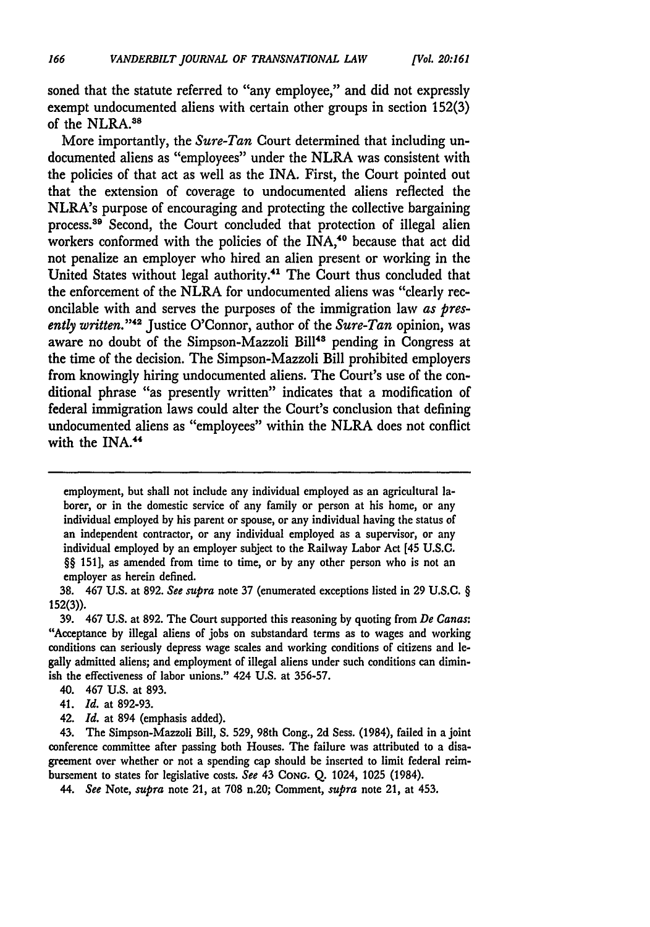soned that the statute referred to "any employee," and did not expressly exempt undocumented aliens with certain other groups in section **152(3)** of the NLRA.<sup>38</sup>

More importantly, the *Sure-Tan* Court determined that including undocumented aliens as "employees" under the NLRA was consistent with the policies of that act as well as the INA. First, the Court pointed out that the extension of coverage to undocumented aliens reflected the NLRA's purpose of encouraging and protecting the collective bargaining process.<sup>39</sup> Second, the Court concluded that protection of illegal alien workers conformed with the policies of the INA,<sup>40</sup> because that act did not penalize an employer who hired an alien present or working in the United States without legal authority.<sup>41</sup> The Court thus concluded that the enforcement of the NLRA for undocumented aliens was "clearly reconcilable with and serves the purposes of the immigration law *as presently written.* **"42** Justice O'Connor, author of the *Sure-Tan* opinion, was aware no doubt of the Simpson-Mazzoli Bill<sup>43</sup> pending in Congress at the time of the decision. The Simpson-Mazzoli Bill prohibited employers from knowingly hiring undocumented aliens. The Court's use of the conditional phrase "as presently written" indicates that a modification of federal immigration laws could alter the Court's conclusion that defining undocumented aliens as "employees" within the NLRA does not conflict with the INA.<sup>44</sup>

employment, but shall not include any individual employed as an agricultural laborer, or in the domestic service of any family or person at his home, or any individual employed **by** his parent or spouse, or any individual having the status of an independent contractor, or any individual employed as a supervisor, or any individual employed **by** an employer subject to the Railway Labor Act [45 **U.S.c. §§ 1511,** as amended from time to time, or **by** any other person who is not an employer as herein defined.

**38.** 467 **U.S.** at **892.** *See supra* note **37** (enumerated exceptions listed in **29 U.S.C. § 152(3)).**

**39.** 467 **U.S.** at **892.** The Court supported this reasoning **by** quoting from *De Canas:* "Acceptance **by** illegal aliens of jobs on substandard terms as to wages and working conditions can seriously depress wage scales and working conditions of citizens and **le**gally admitted aliens; and employment of illegal aliens under such conditions can diminish the effectiveness **of** labor unions." 424 **U.S.** at **356-57.**

- 40. 467 **U.S.** at **893.**
- 41. *Id.* at **892-93.**
- 42. *Id.* at 894 (emphasis added).

43. The Simpson-Mazzoli Bill, **S. 529,** 98th Cong., **2d** Sess. (1984), failed in a joint conference committee after passing both Houses. The failure was attributed to a disagreement over whether or not a spending cap should be inserted to limit federal reimbursement to states for legislative costs. *See* 43 **CONG. Q.** 1024, **1025** (1984).

*44. See* Note, *supra* note 21, at **708** n.20; Comment, *supra* note 21, at 453.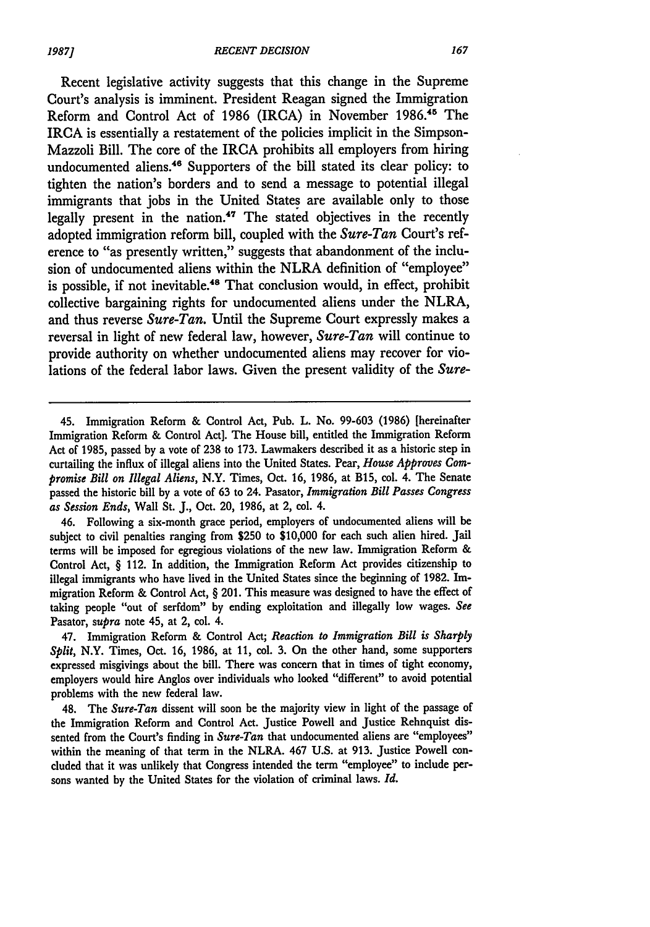Recent legislative activity suggests that this change in the Supreme Court's analysis is imminent. President Reagan signed the Immigration Reform and Control Act of 1986 (IRCA) in November **1986."5** The IRCA is essentially a restatement of the policies implicit in the Simpson-Mazzoli Bill. The core of the IRCA prohibits all employers from hiring undocumented aliens.<sup>46</sup> Supporters of the bill stated its clear policy: to tighten the nation's borders and to send a message to potential illegal immigrants that jobs in the United States are available only to those legally present in the nation.<sup>47</sup> The stated objectives in the recently adopted immigration reform bill, coupled with the *Sure-Tan* Court's reference to "as presently written," suggests that abandonment of the inclusion of undocumented aliens within the NLRA definition of "employee" is possible, if not inevitable.<sup>48</sup> That conclusion would, in effect, prohibit collective bargaining rights for undocumented aliens under the NLRA, and thus reverse *Sure-Tan.* Until the Supreme Court expressly makes a reversal in light of new federal law, however, *Sure-Tan* will continue to provide authority on whether undocumented aliens may recover for violations of the federal labor laws. Given the present validity of the *Sure-*

46. Following a six-month grace period, employers of undocumented aliens will be subject to civil penalties ranging from **\$250** to **\$10,000** for each such alien hired. Jail terms will **be** imposed for egregious violations of the new law. Immigration Reform & Control Act, § 112. In addition, the Immigration Reform Act provides citizenship to illegal immigrants who have lived in the United States since the beginning of **1982.** Immigration Reform & Control Act, § 201. This measure was designed to have the effect of taking people "out of serfdom" by ending exploitation and illegally low wages. *See* Pasator, *supra* note 45, at 2, col. 4.

47. Immigration Reform & Control Act; *Reaction to Immigration Bill is Sharply Split,* N.Y. Times, Oct. **16, 1986,** at **11,** col. **3.** On the other hand, some supporters expressed misgivings about the bill. There was concern that in times of tight economy, employers would hire Anglos over individuals who looked "different" to avoid potential problems with the new federal law.

48. The *Sure-Tan* dissent will soon be the majority view in light of the passage of the Immigration Reform and Control Act. Justice Powell and Justice Rehnquist dissented from the Court's finding in *Sure-Tan* that undocumented aliens are "employees" within the meaning of that term in the NLRA. 467 **U.S.** at **913.** Justice Powell concluded that it was unlikely that Congress intended the term "employee" to include persons wanted by the United States for the violation of criminal laws. *Id.*

<sup>45.</sup> Immigration Reform & Control Act, Pub. L. No. **99-603 (1986)** [hereinafter Immigration Reform & Control Act]. The House bill, entitled the Immigration Reform Act of **1985,** passed by a vote of **238** to **173.** Lawmakers described it as a historic step in curtailing the influx of illegal aliens into the United States. Pear, *House Approves Compromise Bill on Illegal Aliens,* N.Y. Times, Oct. **16, 1986,** at B15, col. 4. The Senate passed the historic bill by a vote of **63** to 24. Pasator, *Immigration Bill Passes Congress as Session Ends,* Wall St. **J.,** Oct. 20, **1986,** at 2, col. 4.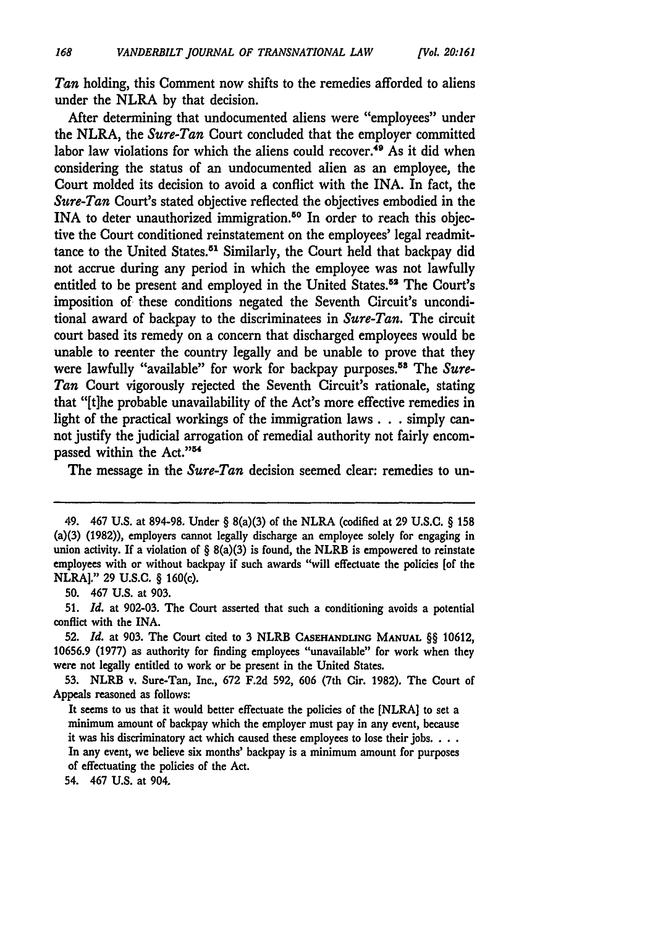*Tan* holding, this Comment now shifts to the remedies afforded to aliens under the NLRA **by** that decision.

After determining that undocumented aliens were "employees" under the NLRA, the *Sure-Tan* Court concluded that the employer committed labor law violations for which the aliens could recover.<sup>49</sup> As it did when considering the status of an undocumented alien as an employee, the Court molded its decision to avoid a conflict with the INA. In fact, the *Sure-Tan* Court's stated objective reflected the objectives embodied in the INA to deter unauthorized immigration.<sup>50</sup> In order to reach this objective the Court conditioned reinstatement on the employees' legal readmittance to the United States.<sup>51</sup> Similarly, the Court held that backpay did not accrue during any period in which the employee was not lawfully entitled to be present and employed in the United States.<sup>52</sup> The Court's imposition of these conditions negated the Seventh Circuit's unconditional award of backpay to the discriminatees in *Sure-Tan.* The circuit court based its remedy on a concern that discharged employees would be unable to reenter the country legally and be unable to prove that they were lawfully "available" for work for backpay purposes.<sup>58</sup> The *Sure-Tan* Court vigorously rejected the Seventh Circuit's rationale, stating that "[t]he probable unavailability of the Act's more effective remedies in light of the practical workings of the immigration laws. **.** simply cannot justify the judicial arrogation of remedial authority not fairly encompassed within the Act."<sup>54</sup>

The message in the *Sure-Tan* decision seemed clear: remedies to un-

**50.** 467 U.S. at 903.

54. 467 **U.S.** at 904.

<sup>49. 467</sup> **U.S.** at **894-98.** Under § 8(a)(3) of the NLRA (codified at **29 U.S.C.** § **158** (a)(3) **(1982)),** employers cannot legally discharge an employee solely for engaging in union activity. If a violation of  $\S$  8(a)(3) is found, the NLRB is empowered to reinstate employees with or without backpay if such awards "will effectuate the policies [of the NLRA]." **29** U.S.C. § 160(c).

**<sup>51.</sup>** *Id.* at 902-03. The Court asserted that such a conditioning avoids a potential conflict with the INA.

**<sup>52.</sup>** *Id.* at **903.** The Court cited to **3** NLRB **CASEHANDLING MANUAL** §§ 10612, **10656.9 (1977)** as authority for finding employees "unavailable" for work when they were not legally entitled to work or **be** present in the United States.

**<sup>53.</sup>** NLRB v. Sure-Tan, Inc., **672 F.2d 592, 606** (7th Cir. **1982).** The Court of Appeals reasoned as follows:

It seems to us that it would better effectuate the policies of the [NLRA] to set a minimum amount of backpay which the employer must pay in any event, because it was his discriminatory act which caused these employees to lose their jobs. **...** In any event, we believe six months' backpay is a minimum amount for purposes of effectuating the policies of the Act.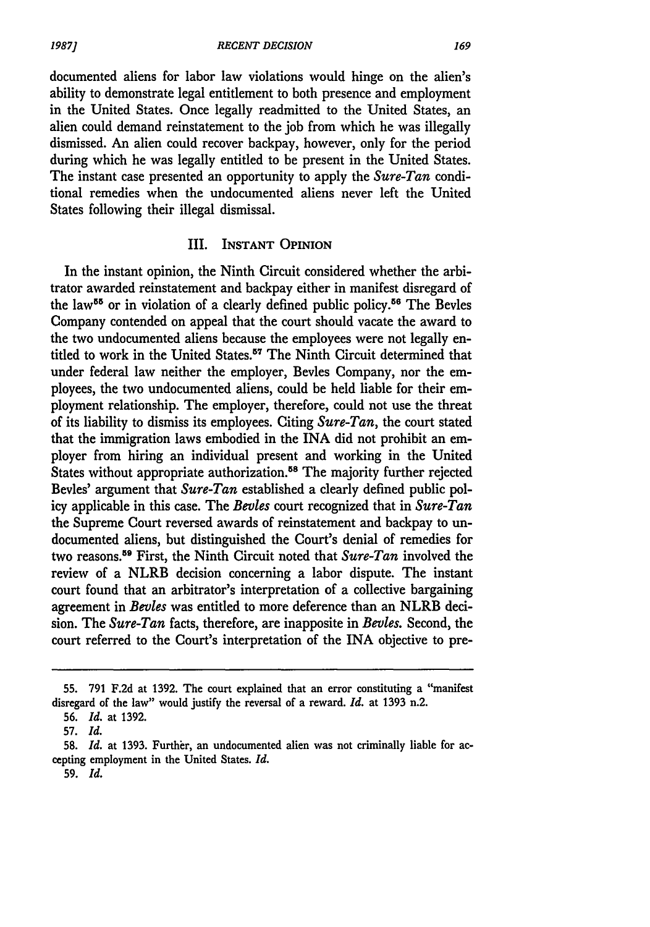documented aliens for labor law violations would hinge on the alien's ability to demonstrate legal entitlement to both presence and employment in the United States. Once legally readmitted to the United States, an alien could demand reinstatement to the **job** from which he was illegally dismissed. An alien could recover backpay, however, only for the period during which he was legally entitled to be present in the United States. The instant case presented an opportunity to apply the *Sure-Tan* conditional remedies when the undocumented aliens never **left** the United States following their illegal dismissal.

#### III. **INSTANT OPINION**

In the instant opinion, the Ninth Circuit considered whether the arbitrator awarded reinstatement and backpay either in manifest disregard of the law<sup>55</sup> or in violation of a clearly defined public policy.<sup>56</sup> The Bevles Company contended on appeal that the court should vacate the award to the two undocumented aliens because the employees were not legally entitled to work in the United States.5 " The Ninth Circuit determined that under federal law neither the employer, Bevles Company, nor the employees, the two undocumented aliens, could be **held** liable for their employment relationship. The employer, therefore, could not use the threat of its liability to dismiss its employees. Citing *Sure-Tan,* the court stated that the immigration laws embodied in the INA did not prohibit an employer from hiring an individual present and working in the United States without appropriate authorization.<sup>58</sup> The majority further rejected Bevles' argument that *Sure-Tan* established a clearly defined public policy applicable in this case. The *Bevies* court recognized that in *Sure-Tan* the Supreme Court reversed awards of reinstatement and backpay to undocumented aliens, but distinguished the Court's denial of remedies for two reasons.59 First, the Ninth Circuit noted that *Sure-Tan* involved the review of a NLRB decision concerning a labor dispute. The instant court found that an arbitrator's interpretation of a collective bargaining agreement in *Bevies* was entitled to more deference than an NLRB decision. The *Sure-Tan* facts, therefore, are inapposite in *Bevies.* Second, the court referred to the Court's interpretation of the INA objective to pre-

**<sup>55. 791</sup> F.2d** at **1392.** The court explained that an error constituting a "manifest disregard of the law" would justify the reversal of a reward. *Id.* at **1393** n.2.

**<sup>56.</sup>** *Id.* at **1392.**

**<sup>57.</sup>** *Id.*

**<sup>58.</sup>** *Id.* at **1393.** Further, an undocumented alien was not criminally liable for accepting employment in the United States. *Id.*

**<sup>59.</sup>** *Id.*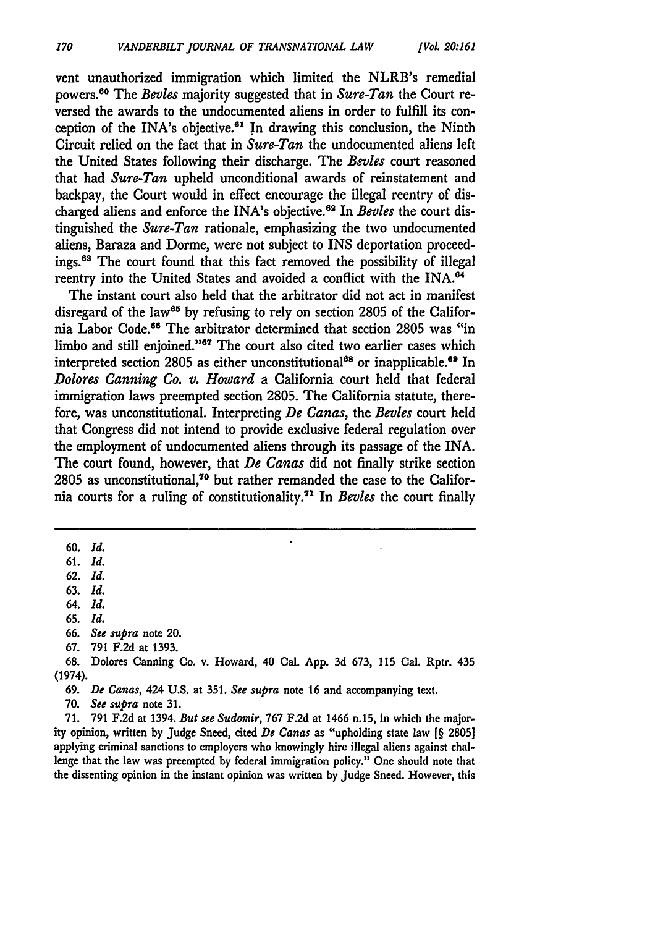vent unauthorized immigration which limited the NLRB's remedial powers."0 The *Bevles* majority suggested that in *Sure-Tan* the Court reversed the awards to the undocumented aliens in order to fulfill its conception of the INA's objective.<sup>61</sup> In drawing this conclusion, the Ninth Circuit relied on the fact that in *Sure-Tan* the undocumented aliens **left** the United States following their discharge. The *Bevles* court reasoned that had *Sure-Tan* upheld unconditional awards of reinstatement and backpay, the Court would in effect encourage the illegal reentry of discharged aliens and enforce the INA's objective.6" In *Bevles* the court distinguished the *Sure-Tan* rationale, emphasizing the two undocumented aliens, Baraza and Dorme, were not subject to INS deportation proceedings.<sup>63</sup> The court found that this fact removed the possibility of illegal reentry into the United States and avoided a conflict with the INA.<sup>64</sup>

The instant court also held that the arbitrator did not act in manifest disregard of the law<sup>65</sup> by refusing to rely on section 2805 of the California Labor Code.<sup>66</sup> The arbitrator determined that section 2805 was "in limbo and still enjoined."<sup>67</sup> The court also cited two earlier cases which interpreted section 2805 as either unconstitutional<sup>68</sup> or inapplicable.<sup>69</sup> In *Dolores Canning Co. v. Howard* a California court held that federal immigration laws preempted section 2805. The California statute, therefore, was unconstitutional. Interpreting *De Canas, the Bevles* court held that Congress did not intend to provide exclusive federal regulation over the employment of undocumented aliens through its passage of the INA. The court found, however, that *De Canas* did not finally strike section 2805 as unconstitutional,<sup>70</sup> but rather remanded the case to the California courts for a ruling of constitutionality. 7' In *Bevles* the court finally

**<sup>60.</sup>** *Id.*

**<sup>61.</sup>** *Id.*

**<sup>62.</sup>** *Id.*

**<sup>63.</sup>** *Id.*

**<sup>64.</sup>** *Id.*

<sup>65.</sup> *Id.*

**<sup>66.</sup>** *See supra* note 20.

**<sup>67. 791</sup> F.2d** at **1393.**

**<sup>68.</sup>** Dolores Canning Co. v. Howard, 40 Cal. **App. 3d 673, 115** Cal. Rptr. 435 (1974).

**<sup>69.</sup> De** *Canas,* 424 **U.S.** at 351. *See supra* note 16 and accompanying text.

**<sup>70.</sup>** *See supra* note **31.**

**<sup>71. 791</sup> F.2d** at 1394. *But see Sudomir,* **767 F.2d** at 1466 n.15, in which the majority opinion, written **by** Judge Sneed, cited *De Canas* as "upholding state law **[§ 2805]** applying criminal sanctions to employers who knowingly hire illegal aliens against challenge that the law was preempted **by** federal immigration policy." One should note that the dissenting opinion in the instant opinion was written **by** Judge Sneed. However, this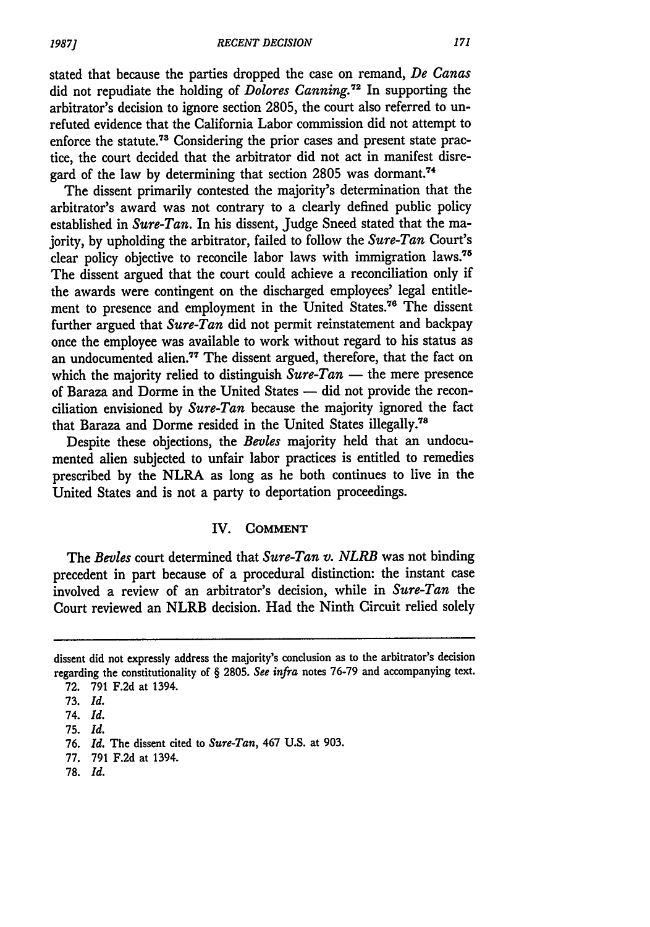stated that because the parties dropped the case on remand, *De Canas* did not repudiate the holding of *Dolores Canning.2* In supporting the arbitrator's decision to ignore section 2805, the court also referred to unrefuted evidence that the California Labor commission did not attempt to enforce the statute.<sup>73</sup> Considering the prior cases and present state practice, the court decided that the arbitrator did not act in manifest disregard of the law by determining that section 2805 was dormant.<sup>74</sup>

The dissent primarily contested the majority's determination that the arbitrator's award was not contrary to a clearly defined public policy established in *Sure-Tan.* In his dissent, Judge Sneed stated that the majority, **by** upholding the arbitrator, failed to follow the *Sure-Tan* Court's clear policy objective to reconcile labor laws with immigration laws.75 The dissent argued that the court could achieve a reconciliation only if the awards were contingent on the discharged employees' legal entitlement to presence and employment in the United States.<sup>76</sup> The dissent further argued that *Sure-Tan* did not permit reinstatement and backpay once the employee was available to work without regard to his status as an undocumented alien.77 The dissent argued, therefore, that the fact on which the majority relied to distinguish  $Sure-Tan$  — the mere presence of Baraza and Dorme in the United States - did not provide the reconciliation envisioned by *Sure-Tan* because the majority ignored the fact that Baraza and Dorme resided in the United States illegally.<sup>78</sup>

Despite these objections, the *Bevles* majority held that an undocumented alien subjected to unfair labor practices is entitled to remedies prescribed by the NLRA as long as he both continues to live in the United States and is not a party to deportation proceedings.

#### IV. **COMMENT**

The *Bevles* court determined that *Sure-Tan v. NLRB* was not binding precedent in part because of a procedural distinction: the instant case involved a review of an arbitrator's decision, while in *Sure-Tan* the Court reviewed an NLRB decision. Had the Ninth Circuit relied solely

**78.** *Id.*

dissent did not expressly address the majority's conclusion as to the arbitrator's decision regarding the constitutionality of § **2805.** *See infra* notes **76-79** and accompanying text. **72. 791 F.2d** at 1394.

**<sup>73.</sup>** *Id.*

**<sup>74.</sup>** *Id.*

**<sup>75.</sup>** *Id.*

**<sup>76.</sup>** *Id.* The dissent cited to *Sure-Tan,* 467 **U.S.** at **903.**

**<sup>77.</sup>** 791 **F.2d** at 1394.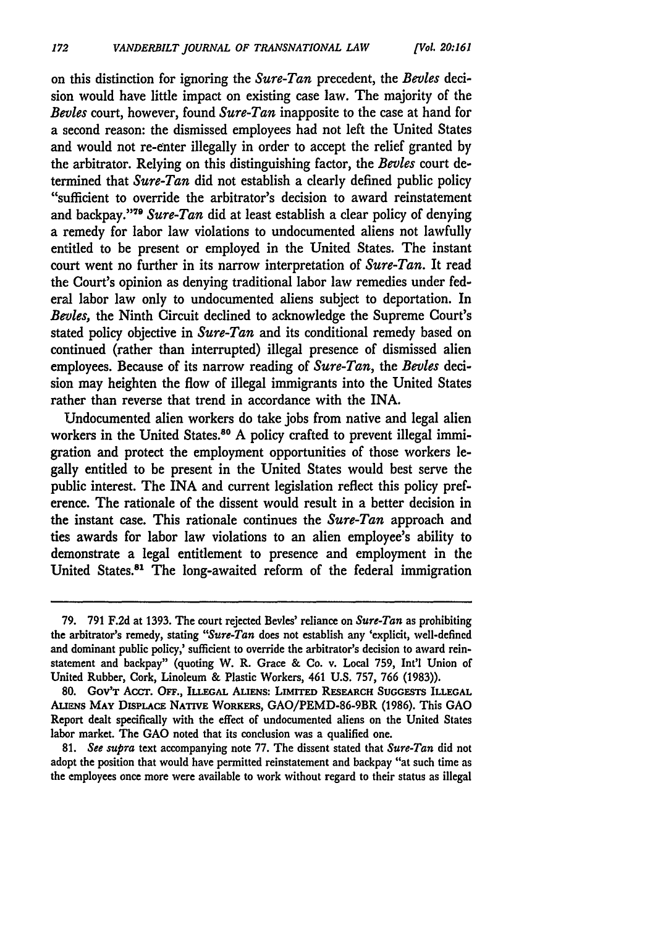on this distinction for ignoring the *Sure-Tan* precedent, the *Bevies* decision would have little impact on existing case law. The majority of the *Bevies* court, however, found *Sure-Tan* inapposite to the case at hand for a second reason: the dismissed employees had not left the United States and would not re-enter illegally in order to accept the relief granted **by** the arbitrator. Relying on this distinguishing factor, the *Bevles* court determined that *Sure-Tan* did not establish a clearly defined public policy "sufficient to override the arbitrator's decision to award reinstatement and backpay." <sup>79</sup>*Sure-Tan* did at least establish a clear policy of denying a remedy for labor law violations to undocumented aliens not lawfully entitled to be present or employed in the United States. The instant court went no further in its narrow interpretation of *Sure-Tan.* It read the Court's opinion as denying traditional labor law remedies under federal labor law only to undocumented aliens subject to deportation. In *Beoles,* the Ninth Circuit declined to acknowledge the Supreme Court's stated policy objective in *Sure-Tan* and its conditional remedy based on continued (rather than interrupted) illegal presence of dismissed alien employees. Because of its narrow reading of *Sure-Tan,* the *Bevies* decision may heighten the flow of illegal immigrants into the United States rather than reverse that trend in accordance with the INA.

Undocumented alien workers do take jobs from native and legal alien workers in the United States.<sup>80</sup> A policy crafted to prevent illegal immigration and protect the employment opportunities of those workers legally entitled to be present in the United States would best serve the public interest. The INA and current legislation reflect this policy preference. The rationale of the dissent would result in a better decision in the instant case. This rationale continues the *Sure-Tan* approach and ties awards for labor law violations to an alien employee's ability to demonstrate a legal entitlement to presence and employment in the United States.81 The long-awaited reform of the federal immigration

**81.** *See supra* text accompanying note **77.** The dissent stated that *Sure-Tan* did not adopt the position that would have permitted reinstatement and backpay "at such time as the employees once more were available to work without regard to their status as illegal

**<sup>79. 791</sup> F.2d** at **1393.** The court rejected Bevies' reliance on *Sure-Tan* as prohibiting the arbitrator's remedy, stating *"Sure-Tan* does not establish any 'explicit, well-defined and dominant public policy,' sufficient to override the arbitrator's decision to award reinstatement and backpay" (quoting W. R. Grace **&** Co. v. Local **759,** Int'l Union of United Rubber, Cork, Linoleum **&** Plastic Workers, 461 **U.S. 757, 766 (1983)).**

<sup>80.</sup> Gov't Acct. Off., Illegal Aliens: Limited Research Suggests Illegal **ALIENS MAY DisPLAcE NATIVE WORKERS,** GAO/PEMD-86-9BR **(1986).** This **GAO** Report dealt specifically with the effect of undocumented aliens on the United States labor market. The **GAO** noted that its conclusion was a qualified one.